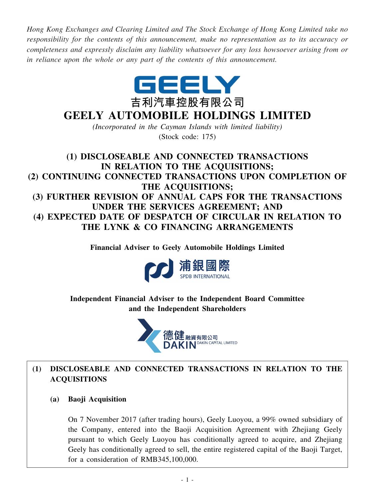*Hong Kong Exchanges and Clearing Limited and The Stock Exchange of Hong Kong Limited take no responsibility for the contents of this announcement, make no representation as to its accuracy or completeness and expressly disclaim any liability whatsoever for any loss howsoever arising from or in reliance upon the whole or any part of the contents of this announcement.*



# **GEELY AUTOMOBILE HOLDINGS LIMITED**

*(Incorporated in the Cayman Islands with limited liability)* (Stock code: 175)

**(1) DISCLOSEABLE AND CONNECTED TRANSACTIONS IN RELATION TO THE ACQUISITIONS; (2) CONTINUING CONNECTED TRANSACTIONS UPON COMPLETION OF THE ACQUISITIONS; (3) FURTHER REVISION OF ANNUAL CAPS FOR THE TRANSACTIONS UNDER THE SERVICES AGREEMENT; AND (4) EXPECTED DATE OF DESPATCH OF CIRCULAR IN RELATION TO THE LYNK & CO FINANCING ARRANGEMENTS**

**Financial Adviser to Geely Automobile Holdings Limited**



**Independent Financial Adviser to the Independent Board Committee and the Independent Shareholders**



## **(1) DISCLOSEABLE AND CONNECTED TRANSACTIONS IN RELATION TO THE ACQUISITIONS**

**(a) Baoji Acquisition**

On 7 November 2017 (after trading hours), Geely Luoyou, a 99% owned subsidiary of the Company, entered into the Baoji Acquisition Agreement with Zhejiang Geely pursuant to which Geely Luoyou has conditionally agreed to acquire, and Zhejiang Geely has conditionally agreed to sell, the entire registered capital of the Baoji Target, for a consideration of RMB345,100,000.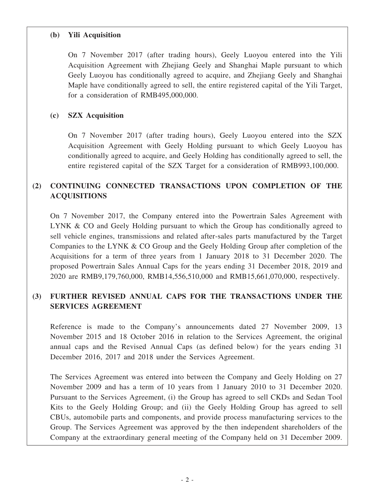#### **(b) Yili Acquisition**

On 7 November 2017 (after trading hours), Geely Luoyou entered into the Yili Acquisition Agreement with Zhejiang Geely and Shanghai Maple pursuant to which Geely Luoyou has conditionally agreed to acquire, and Zhejiang Geely and Shanghai Maple have conditionally agreed to sell, the entire registered capital of the Yili Target, for a consideration of RMB495,000,000.

## **(c) SZX Acquisition**

On 7 November 2017 (after trading hours), Geely Luoyou entered into the SZX Acquisition Agreement with Geely Holding pursuant to which Geely Luoyou has conditionally agreed to acquire, and Geely Holding has conditionally agreed to sell, the entire registered capital of the SZX Target for a consideration of RMB993,100,000.

## **(2) CONTINUING CONNECTED TRANSACTIONS UPON COMPLETION OF THE ACQUISITIONS**

On 7 November 2017, the Company entered into the Powertrain Sales Agreement with LYNK & CO and Geely Holding pursuant to which the Group has conditionally agreed to sell vehicle engines, transmissions and related after-sales parts manufactured by the Target Companies to the LYNK & CO Group and the Geely Holding Group after completion of the Acquisitions for a term of three years from 1 January 2018 to 31 December 2020. The proposed Powertrain Sales Annual Caps for the years ending 31 December 2018, 2019 and 2020 are RMB9,179,760,000, RMB14,556,510,000 and RMB15,661,070,000, respectively.

## **(3) FURTHER REVISED ANNUAL CAPS FOR THE TRANSACTIONS UNDER THE SERVICES AGREEMENT**

Reference is made to the Company's announcements dated 27 November 2009, 13 November 2015 and 18 October 2016 in relation to the Services Agreement, the original annual caps and the Revised Annual Caps (as defined below) for the years ending 31 December 2016, 2017 and 2018 under the Services Agreement.

The Services Agreement was entered into between the Company and Geely Holding on 27 November 2009 and has a term of 10 years from 1 January 2010 to 31 December 2020. Pursuant to the Services Agreement, (i) the Group has agreed to sell CKDs and Sedan Tool Kits to the Geely Holding Group; and (ii) the Geely Holding Group has agreed to sell CBUs, automobile parts and components, and provide process manufacturing services to the Group. The Services Agreement was approved by the then independent shareholders of the Company at the extraordinary general meeting of the Company held on 31 December 2009.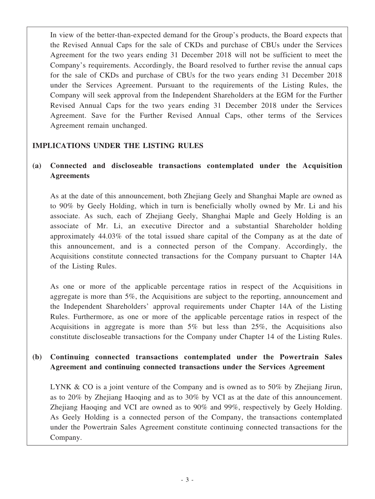In view of the better-than-expected demand for the Group's products, the Board expects that the Revised Annual Caps for the sale of CKDs and purchase of CBUs under the Services Agreement for the two years ending 31 December 2018 will not be sufficient to meet the Company's requirements. Accordingly, the Board resolved to further revise the annual caps for the sale of CKDs and purchase of CBUs for the two years ending 31 December 2018 under the Services Agreement. Pursuant to the requirements of the Listing Rules, the Company will seek approval from the Independent Shareholders at the EGM for the Further Revised Annual Caps for the two years ending 31 December 2018 under the Services Agreement. Save for the Further Revised Annual Caps, other terms of the Services Agreement remain unchanged.

## **IMPLICATIONS UNDER THE LISTING RULES**

## **(a) Connected and discloseable transactions contemplated under the Acquisition Agreements**

As at the date of this announcement, both Zhejiang Geely and Shanghai Maple are owned as to 90% by Geely Holding, which in turn is beneficially wholly owned by Mr. Li and his associate. As such, each of Zhejiang Geely, Shanghai Maple and Geely Holding is an associate of Mr. Li, an executive Director and a substantial Shareholder holding approximately 44.03% of the total issued share capital of the Company as at the date of this announcement, and is a connected person of the Company. Accordingly, the Acquisitions constitute connected transactions for the Company pursuant to Chapter 14A of the Listing Rules.

As one or more of the applicable percentage ratios in respect of the Acquisitions in aggregate is more than 5%, the Acquisitions are subject to the reporting, announcement and the Independent Shareholders' approval requirements under Chapter 14A of the Listing Rules. Furthermore, as one or more of the applicable percentage ratios in respect of the Acquisitions in aggregate is more than 5% but less than 25%, the Acquisitions also constitute discloseable transactions for the Company under Chapter 14 of the Listing Rules.

## **(b) Continuing connected transactions contemplated under the Powertrain Sales Agreement and continuing connected transactions under the Services Agreement**

LYNK & CO is a joint venture of the Company and is owned as to 50% by Zhejiang Jirun, as to 20% by Zhejiang Haoqing and as to 30% by VCI as at the date of this announcement. Zhejiang Haoqing and VCI are owned as to 90% and 99%, respectively by Geely Holding. As Geely Holding is a connected person of the Company, the transactions contemplated under the Powertrain Sales Agreement constitute continuing connected transactions for the Company.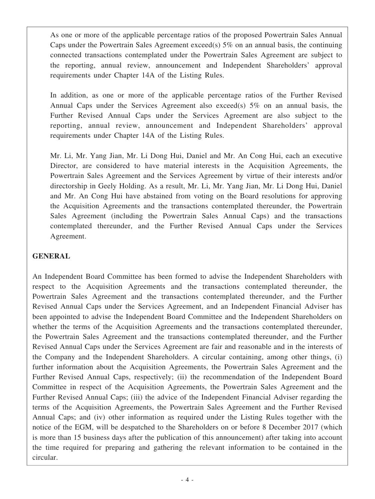As one or more of the applicable percentage ratios of the proposed Powertrain Sales Annual Caps under the Powertrain Sales Agreement exceed(s)  $5\%$  on an annual basis, the continuing connected transactions contemplated under the Powertrain Sales Agreement are subject to the reporting, annual review, announcement and Independent Shareholders' approval requirements under Chapter 14A of the Listing Rules.

In addition, as one or more of the applicable percentage ratios of the Further Revised Annual Caps under the Services Agreement also exceed(s) 5% on an annual basis, the Further Revised Annual Caps under the Services Agreement are also subject to the reporting, annual review, announcement and Independent Shareholders' approval requirements under Chapter 14A of the Listing Rules.

Mr. Li, Mr. Yang Jian, Mr. Li Dong Hui, Daniel and Mr. An Cong Hui, each an executive Director, are considered to have material interests in the Acquisition Agreements, the Powertrain Sales Agreement and the Services Agreement by virtue of their interests and/or directorship in Geely Holding. As a result, Mr. Li, Mr. Yang Jian, Mr. Li Dong Hui, Daniel and Mr. An Cong Hui have abstained from voting on the Board resolutions for approving the Acquisition Agreements and the transactions contemplated thereunder, the Powertrain Sales Agreement (including the Powertrain Sales Annual Caps) and the transactions contemplated thereunder, and the Further Revised Annual Caps under the Services Agreement.

## **GENERAL**

An Independent Board Committee has been formed to advise the Independent Shareholders with respect to the Acquisition Agreements and the transactions contemplated thereunder, the Powertrain Sales Agreement and the transactions contemplated thereunder, and the Further Revised Annual Caps under the Services Agreement, and an Independent Financial Adviser has been appointed to advise the Independent Board Committee and the Independent Shareholders on whether the terms of the Acquisition Agreements and the transactions contemplated thereunder, the Powertrain Sales Agreement and the transactions contemplated thereunder, and the Further Revised Annual Caps under the Services Agreement are fair and reasonable and in the interests of the Company and the Independent Shareholders. A circular containing, among other things, (i) further information about the Acquisition Agreements, the Powertrain Sales Agreement and the Further Revised Annual Caps, respectively; (ii) the recommendation of the Independent Board Committee in respect of the Acquisition Agreements, the Powertrain Sales Agreement and the Further Revised Annual Caps; (iii) the advice of the Independent Financial Adviser regarding the terms of the Acquisition Agreements, the Powertrain Sales Agreement and the Further Revised Annual Caps; and (iv) other information as required under the Listing Rules together with the notice of the EGM, will be despatched to the Shareholders on or before 8 December 2017 (which is more than 15 business days after the publication of this announcement) after taking into account the time required for preparing and gathering the relevant information to be contained in the circular.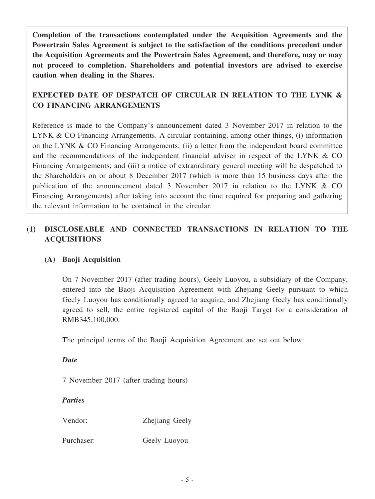**Completion of the transactions contemplated under the Acquisition Agreements and the Powertrain Sales Agreement is subject to the satisfaction of the conditions precedent under the Acquisition Agreements and the Powertrain Sales Agreement, and therefore, may or may not proceed to completion. Shareholders and potential investors are advised to exercise caution when dealing in the Shares.**

## **EXPECTED DATE OF DESPATCH OF CIRCULAR IN RELATION TO THE LYNK & CO FINANCING ARRANGEMENTS**

Reference is made to the Company's announcement dated 3 November 2017 in relation to the LYNK & CO Financing Arrangements. A circular containing, among other things, (i) information on the LYNK & CO Financing Arrangements; (ii) a letter from the independent board committee and the recommendations of the independent financial adviser in respect of the LYNK & CO Financing Arrangements; and (iii) a notice of extraordinary general meeting will be despatched to the Shareholders on or about 8 December 2017 (which is more than 15 business days after the publication of the announcement dated 3 November 2017 in relation to the LYNK & CO Financing Arrangements) after taking into account the time required for preparing and gathering the relevant information to be contained in the circular.

## **(1) DISCLOSEABLE AND CONNECTED TRANSACTIONS IN RELATION TO THE ACQUISITIONS**

## **(A) Baoji Acquisition**

On 7 November 2017 (after trading hours), Geely Luoyou, a subsidiary of the Company, entered into the Baoji Acquisition Agreement with Zhejiang Geely pursuant to which Geely Luoyou has conditionally agreed to acquire, and Zhejiang Geely has conditionally agreed to sell, the entire registered capital of the Baoji Target for a consideration of RMB345,100,000.

The principal terms of the Baoji Acquisition Agreement are set out below:

#### *Date*

7 November 2017 (after trading hours)

## *Parties*

Vendor: Zhejiang Geely

Purchaser: Geely Luoyou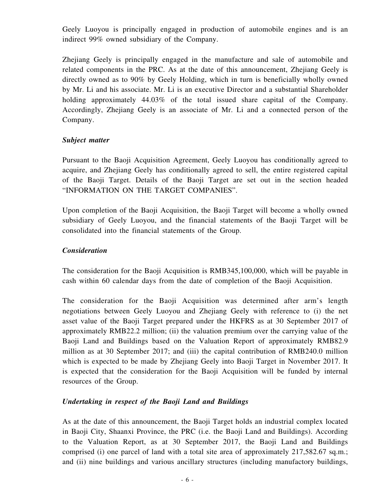Geely Luoyou is principally engaged in production of automobile engines and is an indirect 99% owned subsidiary of the Company.

Zhejiang Geely is principally engaged in the manufacture and sale of automobile and related components in the PRC. As at the date of this announcement, Zhejiang Geely is directly owned as to 90% by Geely Holding, which in turn is beneficially wholly owned by Mr. Li and his associate. Mr. Li is an executive Director and a substantial Shareholder holding approximately 44.03% of the total issued share capital of the Company. Accordingly, Zhejiang Geely is an associate of Mr. Li and a connected person of the Company.

#### *Subject matter*

Pursuant to the Baoji Acquisition Agreement, Geely Luoyou has conditionally agreed to acquire, and Zhejiang Geely has conditionally agreed to sell, the entire registered capital of the Baoji Target. Details of the Baoji Target are set out in the section headed "INFORMATION ON THE TARGET COMPANIES".

Upon completion of the Baoji Acquisition, the Baoji Target will become a wholly owned subsidiary of Geely Luoyou, and the financial statements of the Baoji Target will be consolidated into the financial statements of the Group.

## *Consideration*

The consideration for the Baoji Acquisition is RMB345,100,000, which will be payable in cash within 60 calendar days from the date of completion of the Baoji Acquisition.

The consideration for the Baoji Acquisition was determined after arm's length negotiations between Geely Luoyou and Zhejiang Geely with reference to (i) the net asset value of the Baoji Target prepared under the HKFRS as at 30 September 2017 of approximately RMB22.2 million; (ii) the valuation premium over the carrying value of the Baoji Land and Buildings based on the Valuation Report of approximately RMB82.9 million as at 30 September 2017; and (iii) the capital contribution of RMB240.0 million which is expected to be made by Zhejiang Geely into Baoji Target in November 2017. It is expected that the consideration for the Baoji Acquisition will be funded by internal resources of the Group.

## *Undertaking in respect of the Baoji Land and Buildings*

As at the date of this announcement, the Baoji Target holds an industrial complex located in Baoji City, Shaanxi Province, the PRC (i.e. the Baoji Land and Buildings). According to the Valuation Report, as at 30 September 2017, the Baoji Land and Buildings comprised (i) one parcel of land with a total site area of approximately 217,582.67 sq.m.; and (ii) nine buildings and various ancillary structures (including manufactory buildings,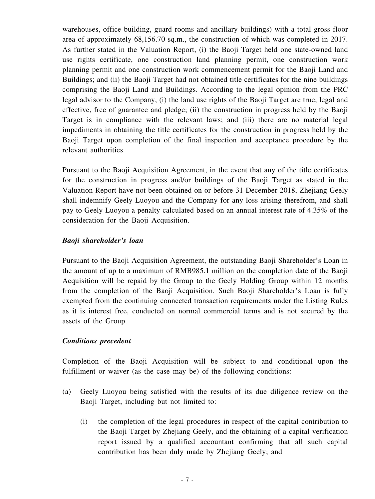warehouses, office building, guard rooms and ancillary buildings) with a total gross floor area of approximately 68,156.70 sq.m., the construction of which was completed in 2017. As further stated in the Valuation Report, (i) the Baoji Target held one state-owned land use rights certificate, one construction land planning permit, one construction work planning permit and one construction work commencement permit for the Baoji Land and Buildings; and (ii) the Baoji Target had not obtained title certificates for the nine buildings comprising the Baoji Land and Buildings. According to the legal opinion from the PRC legal advisor to the Company, (i) the land use rights of the Baoji Target are true, legal and effective, free of guarantee and pledge; (ii) the construction in progress held by the Baoji Target is in compliance with the relevant laws; and (iii) there are no material legal impediments in obtaining the title certificates for the construction in progress held by the Baoji Target upon completion of the final inspection and acceptance procedure by the relevant authorities.

Pursuant to the Baoji Acquisition Agreement, in the event that any of the title certificates for the construction in progress and/or buildings of the Baoji Target as stated in the Valuation Report have not been obtained on or before 31 December 2018, Zhejiang Geely shall indemnify Geely Luoyou and the Company for any loss arising therefrom, and shall pay to Geely Luoyou a penalty calculated based on an annual interest rate of 4.35% of the consideration for the Baoji Acquisition.

#### *Baoji shareholder's loan*

Pursuant to the Baoji Acquisition Agreement, the outstanding Baoji Shareholder's Loan in the amount of up to a maximum of RMB985.1 million on the completion date of the Baoji Acquisition will be repaid by the Group to the Geely Holding Group within 12 months from the completion of the Baoji Acquisition. Such Baoji Shareholder's Loan is fully exempted from the continuing connected transaction requirements under the Listing Rules as it is interest free, conducted on normal commercial terms and is not secured by the assets of the Group.

## *Conditions precedent*

Completion of the Baoji Acquisition will be subject to and conditional upon the fulfillment or waiver (as the case may be) of the following conditions:

- (a) Geely Luoyou being satisfied with the results of its due diligence review on the Baoji Target, including but not limited to:
	- (i) the completion of the legal procedures in respect of the capital contribution to the Baoji Target by Zhejiang Geely, and the obtaining of a capital verification report issued by a qualified accountant confirming that all such capital contribution has been duly made by Zhejiang Geely; and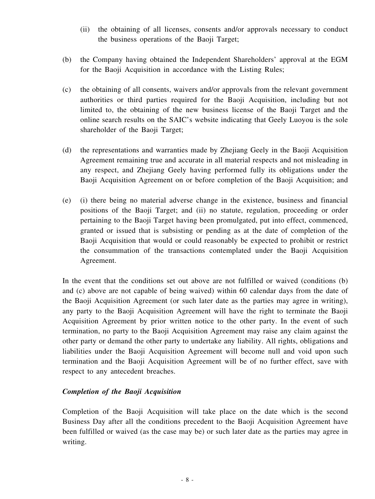- (ii) the obtaining of all licenses, consents and/or approvals necessary to conduct the business operations of the Baoji Target;
- (b) the Company having obtained the Independent Shareholders' approval at the EGM for the Baoji Acquisition in accordance with the Listing Rules;
- (c) the obtaining of all consents, waivers and/or approvals from the relevant government authorities or third parties required for the Baoji Acquisition, including but not limited to, the obtaining of the new business license of the Baoji Target and the online search results on the SAIC's website indicating that Geely Luoyou is the sole shareholder of the Baoji Target;
- (d) the representations and warranties made by Zhejiang Geely in the Baoji Acquisition Agreement remaining true and accurate in all material respects and not misleading in any respect, and Zhejiang Geely having performed fully its obligations under the Baoji Acquisition Agreement on or before completion of the Baoji Acquisition; and
- (e) (i) there being no material adverse change in the existence, business and financial positions of the Baoji Target; and (ii) no statute, regulation, proceeding or order pertaining to the Baoji Target having been promulgated, put into effect, commenced, granted or issued that is subsisting or pending as at the date of completion of the Baoji Acquisition that would or could reasonably be expected to prohibit or restrict the consummation of the transactions contemplated under the Baoji Acquisition Agreement.

In the event that the conditions set out above are not fulfilled or waived (conditions (b) and (c) above are not capable of being waived) within 60 calendar days from the date of the Baoji Acquisition Agreement (or such later date as the parties may agree in writing), any party to the Baoji Acquisition Agreement will have the right to terminate the Baoji Acquisition Agreement by prior written notice to the other party. In the event of such termination, no party to the Baoji Acquisition Agreement may raise any claim against the other party or demand the other party to undertake any liability. All rights, obligations and liabilities under the Baoji Acquisition Agreement will become null and void upon such termination and the Baoji Acquisition Agreement will be of no further effect, save with respect to any antecedent breaches.

## *Completion of the Baoji Acquisition*

Completion of the Baoji Acquisition will take place on the date which is the second Business Day after all the conditions precedent to the Baoji Acquisition Agreement have been fulfilled or waived (as the case may be) or such later date as the parties may agree in writing.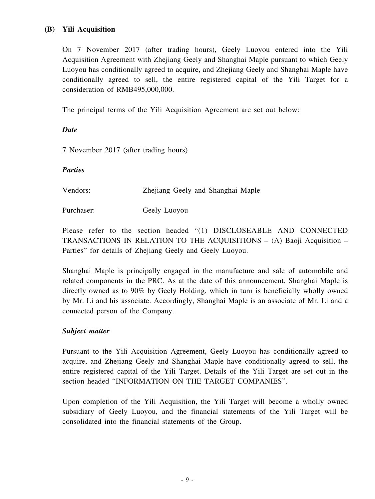## **(B) Yili Acquisition**

On 7 November 2017 (after trading hours), Geely Luoyou entered into the Yili Acquisition Agreement with Zhejiang Geely and Shanghai Maple pursuant to which Geely Luoyou has conditionally agreed to acquire, and Zhejiang Geely and Shanghai Maple have conditionally agreed to sell, the entire registered capital of the Yili Target for a consideration of RMB495,000,000.

The principal terms of the Yili Acquisition Agreement are set out below:

#### *Date*

7 November 2017 (after trading hours)

#### *Parties*

Vendors: Zhejiang Geely and Shanghai Maple

Purchaser: Geely Luoyou

Please refer to the section headed "(1) DISCLOSEABLE AND CONNECTED TRANSACTIONS IN RELATION TO THE ACQUISITIONS – (A) Baoji Acquisition – Parties" for details of Zhejiang Geely and Geely Luoyou.

Shanghai Maple is principally engaged in the manufacture and sale of automobile and related components in the PRC. As at the date of this announcement, Shanghai Maple is directly owned as to 90% by Geely Holding, which in turn is beneficially wholly owned by Mr. Li and his associate. Accordingly, Shanghai Maple is an associate of Mr. Li and a connected person of the Company.

## *Subject matter*

Pursuant to the Yili Acquisition Agreement, Geely Luoyou has conditionally agreed to acquire, and Zhejiang Geely and Shanghai Maple have conditionally agreed to sell, the entire registered capital of the Yili Target. Details of the Yili Target are set out in the section headed "INFORMATION ON THE TARGET COMPANIES".

Upon completion of the Yili Acquisition, the Yili Target will become a wholly owned subsidiary of Geely Luoyou, and the financial statements of the Yili Target will be consolidated into the financial statements of the Group.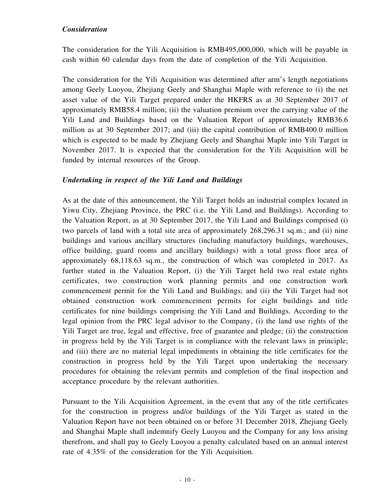## *Consideration*

The consideration for the Yili Acquisition is RMB495,000,000, which will be payable in cash within 60 calendar days from the date of completion of the Yili Acquisition.

The consideration for the Yili Acquisition was determined after arm's length negotiations among Geely Luoyou, Zhejiang Geely and Shanghai Maple with reference to (i) the net asset value of the Yili Target prepared under the HKFRS as at 30 September 2017 of approximately RMB58.4 million; (ii) the valuation premium over the carrying value of the Yili Land and Buildings based on the Valuation Report of approximately RMB36.6 million as at 30 September 2017; and (iii) the capital contribution of RMB400.0 million which is expected to be made by Zhejiang Geely and Shanghai Maple into Yili Target in November 2017. It is expected that the consideration for the Yili Acquisition will be funded by internal resources of the Group.

#### *Undertaking in respect of the Yili Land and Buildings*

As at the date of this announcement, the Yili Target holds an industrial complex located in Yiwu City, Zhejiang Province, the PRC (i.e. the Yili Land and Buildings). According to the Valuation Report, as at 30 September 2017, the Yili Land and Buildings comprised (i) two parcels of land with a total site area of approximately 268,296.31 sq.m.; and (ii) nine buildings and various ancillary structures (including manufactory buildings, warehouses, office building, guard rooms and ancillary buildings) with a total gross floor area of approximately 68,118.63 sq.m., the construction of which was completed in 2017. As further stated in the Valuation Report, (i) the Yili Target held two real estate rights certificates, two construction work planning permits and one construction work commencement permit for the Yili Land and Buildings; and (ii) the Yili Target had not obtained construction work commencement permits for eight buildings and title certificates for nine buildings comprising the Yili Land and Buildings. According to the legal opinion from the PRC legal advisor to the Company, (i) the land use rights of the Yili Target are true, legal and effective, free of guarantee and pledge; (ii) the construction in progress held by the Yili Target is in compliance with the relevant laws in principle; and (iii) there are no material legal impediments in obtaining the title certificates for the construction in progress held by the Yili Target upon undertaking the necessary procedures for obtaining the relevant permits and completion of the final inspection and acceptance procedure by the relevant authorities.

Pursuant to the Yili Acquisition Agreement, in the event that any of the title certificates for the construction in progress and/or buildings of the Yili Target as stated in the Valuation Report have not been obtained on or before 31 December 2018, Zhejiang Geely and Shanghai Maple shall indemnify Geely Luoyou and the Company for any loss arising therefrom, and shall pay to Geely Luoyou a penalty calculated based on an annual interest rate of 4.35% of the consideration for the Yili Acquisition.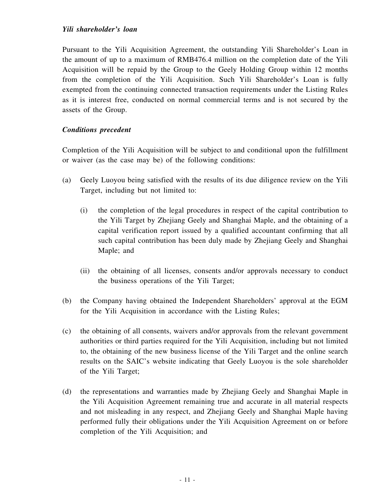Pursuant to the Yili Acquisition Agreement, the outstanding Yili Shareholder's Loan in the amount of up to a maximum of RMB476.4 million on the completion date of the Yili Acquisition will be repaid by the Group to the Geely Holding Group within 12 months from the completion of the Yili Acquisition. Such Yili Shareholder's Loan is fully exempted from the continuing connected transaction requirements under the Listing Rules as it is interest free, conducted on normal commercial terms and is not secured by the assets of the Group.

## *Conditions precedent*

Completion of the Yili Acquisition will be subject to and conditional upon the fulfillment or waiver (as the case may be) of the following conditions:

- (a) Geely Luoyou being satisfied with the results of its due diligence review on the Yili Target, including but not limited to:
	- (i) the completion of the legal procedures in respect of the capital contribution to the Yili Target by Zhejiang Geely and Shanghai Maple, and the obtaining of a capital verification report issued by a qualified accountant confirming that all such capital contribution has been duly made by Zhejiang Geely and Shanghai Maple; and
	- (ii) the obtaining of all licenses, consents and/or approvals necessary to conduct the business operations of the Yili Target;
- (b) the Company having obtained the Independent Shareholders' approval at the EGM for the Yili Acquisition in accordance with the Listing Rules;
- (c) the obtaining of all consents, waivers and/or approvals from the relevant government authorities or third parties required for the Yili Acquisition, including but not limited to, the obtaining of the new business license of the Yili Target and the online search results on the SAIC's website indicating that Geely Luoyou is the sole shareholder of the Yili Target;
- (d) the representations and warranties made by Zhejiang Geely and Shanghai Maple in the Yili Acquisition Agreement remaining true and accurate in all material respects and not misleading in any respect, and Zhejiang Geely and Shanghai Maple having performed fully their obligations under the Yili Acquisition Agreement on or before completion of the Yili Acquisition; and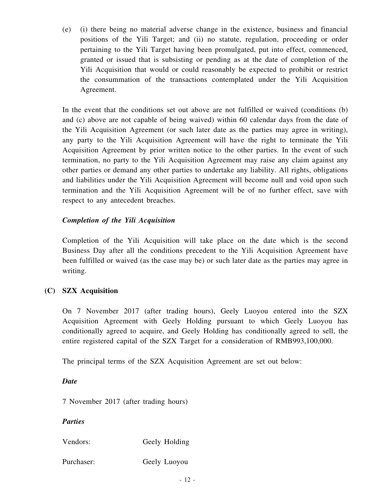(e) (i) there being no material adverse change in the existence, business and financial positions of the Yili Target; and (ii) no statute, regulation, proceeding or order pertaining to the Yili Target having been promulgated, put into effect, commenced, granted or issued that is subsisting or pending as at the date of completion of the Yili Acquisition that would or could reasonably be expected to prohibit or restrict the consummation of the transactions contemplated under the Yili Acquisition Agreement.

In the event that the conditions set out above are not fulfilled or waived (conditions (b) and (c) above are not capable of being waived) within 60 calendar days from the date of the Yili Acquisition Agreement (or such later date as the parties may agree in writing), any party to the Yili Acquisition Agreement will have the right to terminate the Yili Acquisition Agreement by prior written notice to the other parties. In the event of such termination, no party to the Yili Acquisition Agreement may raise any claim against any other parties or demand any other parties to undertake any liability. All rights, obligations and liabilities under the Yili Acquisition Agreement will become null and void upon such termination and the Yili Acquisition Agreement will be of no further effect, save with respect to any antecedent breaches.

## *Completion of the Yili Acquisition*

Completion of the Yili Acquisition will take place on the date which is the second Business Day after all the conditions precedent to the Yili Acquisition Agreement have been fulfilled or waived (as the case may be) or such later date as the parties may agree in writing.

## **(C) SZX Acquisition**

On 7 November 2017 (after trading hours), Geely Luoyou entered into the SZX Acquisition Agreement with Geely Holding pursuant to which Geely Luoyou has conditionally agreed to acquire, and Geely Holding has conditionally agreed to sell, the entire registered capital of the SZX Target for a consideration of RMB993,100,000.

The principal terms of the SZX Acquisition Agreement are set out below:

#### *Date*

7 November 2017 (after trading hours)

## *Parties*

Vendors: Geely Holding

Purchaser: Geely Luoyou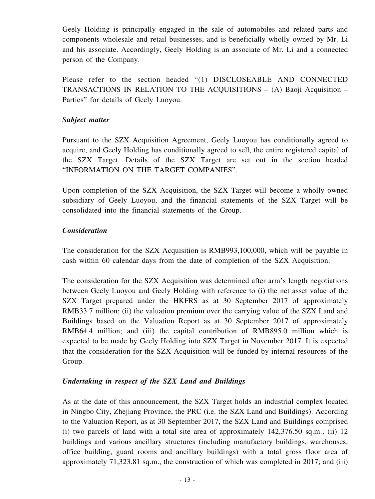Geely Holding is principally engaged in the sale of automobiles and related parts and components wholesale and retail businesses, and is beneficially wholly owned by Mr. Li and his associate. Accordingly, Geely Holding is an associate of Mr. Li and a connected person of the Company.

Please refer to the section headed "(1) DISCLOSEABLE AND CONNECTED TRANSACTIONS IN RELATION TO THE ACQUISITIONS – (A) Baoji Acquisition – Parties" for details of Geely Luoyou.

#### *Subject matter*

Pursuant to the SZX Acquisition Agreement, Geely Luoyou has conditionally agreed to acquire, and Geely Holding has conditionally agreed to sell, the entire registered capital of the SZX Target. Details of the SZX Target are set out in the section headed "INFORMATION ON THE TARGET COMPANIES".

Upon completion of the SZX Acquisition, the SZX Target will become a wholly owned subsidiary of Geely Luoyou, and the financial statements of the SZX Target will be consolidated into the financial statements of the Group.

## *Consideration*

The consideration for the SZX Acquisition is RMB993,100,000, which will be payable in cash within 60 calendar days from the date of completion of the SZX Acquisition.

The consideration for the SZX Acquisition was determined after arm's length negotiations between Geely Luoyou and Geely Holding with reference to (i) the net asset value of the SZX Target prepared under the HKFRS as at 30 September 2017 of approximately RMB33.7 million; (ii) the valuation premium over the carrying value of the SZX Land and Buildings based on the Valuation Report as at 30 September 2017 of approximately RMB64.4 million; and (iii) the capital contribution of RMB895.0 million which is expected to be made by Geely Holding into SZX Target in November 2017. It is expected that the consideration for the SZX Acquisition will be funded by internal resources of the Group.

## *Undertaking in respect of the SZX Land and Buildings*

As at the date of this announcement, the SZX Target holds an industrial complex located in Ningbo City, Zhejiang Province, the PRC (i.e. the SZX Land and Buildings). According to the Valuation Report, as at 30 September 2017, the SZX Land and Buildings comprised (i) two parcels of land with a total site area of approximately 142,376.50 sq.m.; (ii) 12 buildings and various ancillary structures (including manufactory buildings, warehouses, office building, guard rooms and ancillary buildings) with a total gross floor area of approximately 71,323.81 sq.m., the construction of which was completed in 2017; and (iii)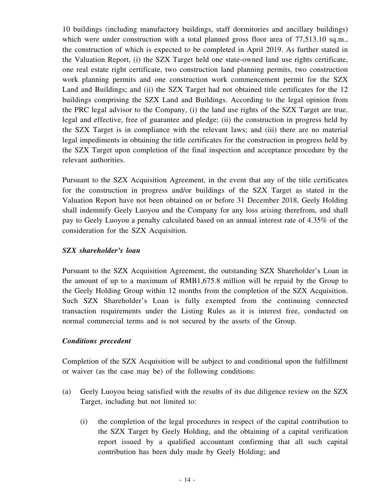10 buildings (including manufactory buildings, staff dormitories and ancillary buildings) which were under construction with a total planned gross floor area of 77,513.10 sq.m., the construction of which is expected to be completed in April 2019. As further stated in the Valuation Report, (i) the SZX Target held one state-owned land use rights certificate, one real estate right certificate, two construction land planning permits, two construction work planning permits and one construction work commencement permit for the SZX Land and Buildings; and (ii) the SZX Target had not obtained title certificates for the 12 buildings comprising the SZX Land and Buildings. According to the legal opinion from the PRC legal advisor to the Company, (i) the land use rights of the SZX Target are true, legal and effective, free of guarantee and pledge; (ii) the construction in progress held by the SZX Target is in compliance with the relevant laws; and (iii) there are no material legal impediments in obtaining the title certificates for the construction in progress held by the SZX Target upon completion of the final inspection and acceptance procedure by the relevant authorities.

Pursuant to the SZX Acquisition Agreement, in the event that any of the title certificates for the construction in progress and/or buildings of the SZX Target as stated in the Valuation Report have not been obtained on or before 31 December 2018, Geely Holding shall indemnify Geely Luoyou and the Company for any loss arising therefrom, and shall pay to Geely Luoyou a penalty calculated based on an annual interest rate of 4.35% of the consideration for the SZX Acquisition.

## *SZX shareholder's loan*

Pursuant to the SZX Acquisition Agreement, the outstanding SZX Shareholder's Loan in the amount of up to a maximum of RMB1,675.8 million will be repaid by the Group to the Geely Holding Group within 12 months from the completion of the SZX Acquisition. Such SZX Shareholder's Loan is fully exempted from the continuing connected transaction requirements under the Listing Rules as it is interest free, conducted on normal commercial terms and is not secured by the assets of the Group.

#### *Conditions precedent*

Completion of the SZX Acquisition will be subject to and conditional upon the fulfillment or waiver (as the case may be) of the following conditions:

- (a) Geely Luoyou being satisfied with the results of its due diligence review on the SZX Target, including but not limited to:
	- (i) the completion of the legal procedures in respect of the capital contribution to the SZX Target by Geely Holding, and the obtaining of a capital verification report issued by a qualified accountant confirming that all such capital contribution has been duly made by Geely Holding; and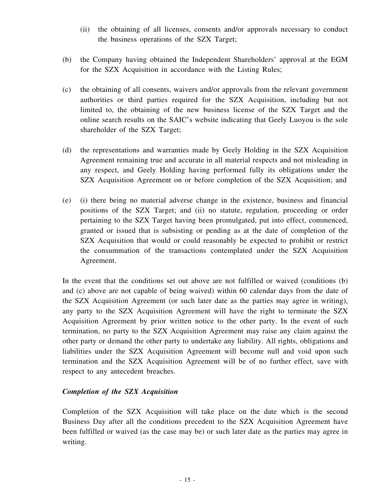- (ii) the obtaining of all licenses, consents and/or approvals necessary to conduct the business operations of the SZX Target;
- (b) the Company having obtained the Independent Shareholders' approval at the EGM for the SZX Acquisition in accordance with the Listing Rules;
- (c) the obtaining of all consents, waivers and/or approvals from the relevant government authorities or third parties required for the SZX Acquisition, including but not limited to, the obtaining of the new business license of the SZX Target and the online search results on the SAIC's website indicating that Geely Luoyou is the sole shareholder of the SZX Target;
- (d) the representations and warranties made by Geely Holding in the SZX Acquisition Agreement remaining true and accurate in all material respects and not misleading in any respect, and Geely Holding having performed fully its obligations under the SZX Acquisition Agreement on or before completion of the SZX Acquisition; and
- (e) (i) there being no material adverse change in the existence, business and financial positions of the SZX Target; and (ii) no statute, regulation, proceeding or order pertaining to the SZX Target having been promulgated, put into effect, commenced, granted or issued that is subsisting or pending as at the date of completion of the SZX Acquisition that would or could reasonably be expected to prohibit or restrict the consummation of the transactions contemplated under the SZX Acquisition Agreement.

In the event that the conditions set out above are not fulfilled or waived (conditions (b) and (c) above are not capable of being waived) within 60 calendar days from the date of the SZX Acquisition Agreement (or such later date as the parties may agree in writing), any party to the SZX Acquisition Agreement will have the right to terminate the SZX Acquisition Agreement by prior written notice to the other party. In the event of such termination, no party to the SZX Acquisition Agreement may raise any claim against the other party or demand the other party to undertake any liability. All rights, obligations and liabilities under the SZX Acquisition Agreement will become null and void upon such termination and the SZX Acquisition Agreement will be of no further effect, save with respect to any antecedent breaches.

## *Completion of the SZX Acquisition*

Completion of the SZX Acquisition will take place on the date which is the second Business Day after all the conditions precedent to the SZX Acquisition Agreement have been fulfilled or waived (as the case may be) or such later date as the parties may agree in writing.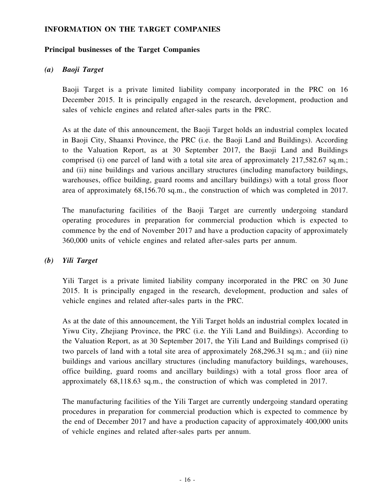#### **INFORMATION ON THE TARGET COMPANIES**

#### **Principal businesses of the Target Companies**

#### *(a) Baoji Target*

Baoji Target is a private limited liability company incorporated in the PRC on 16 December 2015. It is principally engaged in the research, development, production and sales of vehicle engines and related after-sales parts in the PRC.

As at the date of this announcement, the Baoji Target holds an industrial complex located in Baoji City, Shaanxi Province, the PRC (i.e. the Baoji Land and Buildings). According to the Valuation Report, as at 30 September 2017, the Baoji Land and Buildings comprised (i) one parcel of land with a total site area of approximately 217,582.67 sq.m.; and (ii) nine buildings and various ancillary structures (including manufactory buildings, warehouses, office building, guard rooms and ancillary buildings) with a total gross floor area of approximately 68,156.70 sq.m., the construction of which was completed in 2017.

The manufacturing facilities of the Baoji Target are currently undergoing standard operating procedures in preparation for commercial production which is expected to commence by the end of November 2017 and have a production capacity of approximately 360,000 units of vehicle engines and related after-sales parts per annum.

## *(b) Yili Target*

Yili Target is a private limited liability company incorporated in the PRC on 30 June 2015. It is principally engaged in the research, development, production and sales of vehicle engines and related after-sales parts in the PRC.

As at the date of this announcement, the Yili Target holds an industrial complex located in Yiwu City, Zhejiang Province, the PRC (i.e. the Yili Land and Buildings). According to the Valuation Report, as at 30 September 2017, the Yili Land and Buildings comprised (i) two parcels of land with a total site area of approximately 268,296.31 sq.m.; and (ii) nine buildings and various ancillary structures (including manufactory buildings, warehouses, office building, guard rooms and ancillary buildings) with a total gross floor area of approximately 68,118.63 sq.m., the construction of which was completed in 2017.

The manufacturing facilities of the Yili Target are currently undergoing standard operating procedures in preparation for commercial production which is expected to commence by the end of December 2017 and have a production capacity of approximately 400,000 units of vehicle engines and related after-sales parts per annum.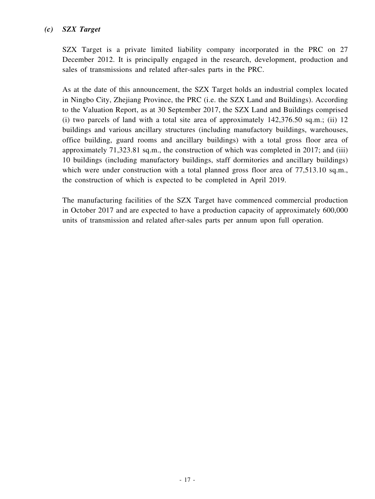## *(c) SZX Target*

SZX Target is a private limited liability company incorporated in the PRC on 27 December 2012. It is principally engaged in the research, development, production and sales of transmissions and related after-sales parts in the PRC.

As at the date of this announcement, the SZX Target holds an industrial complex located in Ningbo City, Zhejiang Province, the PRC (i.e. the SZX Land and Buildings). According to the Valuation Report, as at 30 September 2017, the SZX Land and Buildings comprised (i) two parcels of land with a total site area of approximately 142,376.50 sq.m.; (ii) 12 buildings and various ancillary structures (including manufactory buildings, warehouses, office building, guard rooms and ancillary buildings) with a total gross floor area of approximately 71,323.81 sq.m., the construction of which was completed in 2017; and (iii) 10 buildings (including manufactory buildings, staff dormitories and ancillary buildings) which were under construction with a total planned gross floor area of 77,513.10 sq.m., the construction of which is expected to be completed in April 2019.

The manufacturing facilities of the SZX Target have commenced commercial production in October 2017 and are expected to have a production capacity of approximately 600,000 units of transmission and related after-sales parts per annum upon full operation.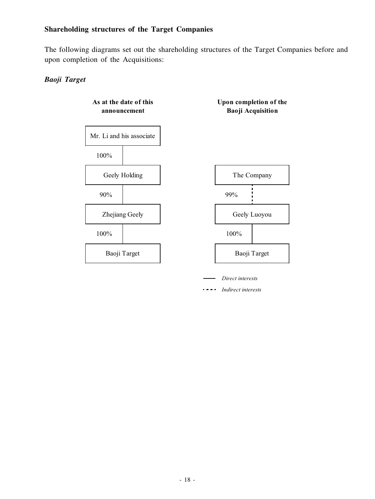## **Shareholding structures of the Target Companies**

The following diagrams set out the shareholding structures of the Target Companies before and upon completion of the Acquisitions:

## *Baoji Target*

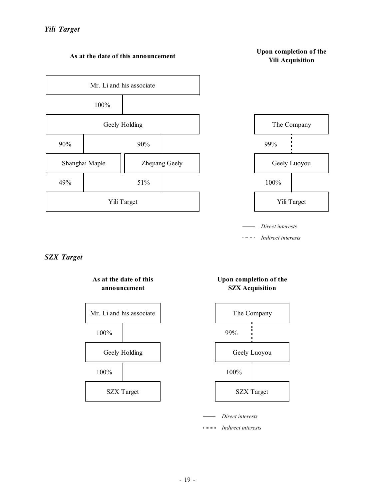

#### **As at the date of this announcement**

#### **Upon completion of the Yili Acquisition**



*Direct interests*

*Indirect interests*  $\sim 100$  and  $\sim 100$ 

## *SZX Target*



**As at the date of this**

#### **Upon completion of the SZX Acquisition**



*Direct interests*

*Indirect interests*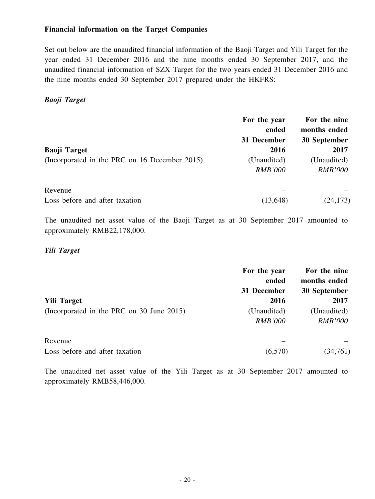#### **Financial information on the Target Companies**

Set out below are the unaudited financial information of the Baoji Target and Yili Target for the year ended 31 December 2016 and the nine months ended 30 September 2017, and the unaudited financial information of SZX Target for the two years ended 31 December 2016 and the nine months ended 30 September 2017 prepared under the HKFRS:

#### *Baoji Target*

|                                               | For the year<br>ended | For the nine<br>months ended |
|-----------------------------------------------|-----------------------|------------------------------|
|                                               | 31 December           | 30 September                 |
| <b>Baoji Target</b>                           | 2016                  | 2017                         |
| (Incorporated in the PRC on 16 December 2015) | (Unaudited)           | (Unaudited)                  |
|                                               | <i>RMB'000</i>        | <b>RMB'000</b>               |
| Revenue                                       |                       |                              |
| Loss before and after taxation                | (13, 648)             | (24, 173)                    |

The unaudited net asset value of the Baoji Target as at 30 September 2017 amounted to approximately RMB22,178,000.

#### *Yili Target*

|                                           | For the year   | For the nine   |
|-------------------------------------------|----------------|----------------|
|                                           | ended          | months ended   |
|                                           | 31 December    | 30 September   |
| <b>Yili Target</b>                        | 2016           | 2017           |
| (Incorporated in the PRC on 30 June 2015) | (Unaudited)    | (Unaudited)    |
|                                           | <i>RMB'000</i> | <i>RMB'000</i> |
| Revenue                                   |                |                |
| Loss before and after taxation            | (6,570)        | (34,761)       |

The unaudited net asset value of the Yili Target as at 30 September 2017 amounted to approximately RMB58,446,000.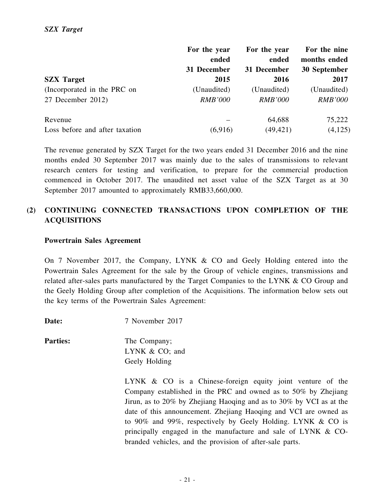|                                | For the year   | For the year   | For the nine   |
|--------------------------------|----------------|----------------|----------------|
|                                | ended          | ended          | months ended   |
|                                | 31 December    | 31 December    | 30 September   |
| <b>SZX</b> Target              | 2015           | 2016           | 2017           |
| (Incorporated in the PRC on    | (Unaudited)    | (Unaudited)    | (Unaudited)    |
| 27 December 2012)              | <i>RMB'000</i> | <i>RMB'000</i> | <b>RMB'000</b> |
| Revenue                        |                | 64,688         | 75,222         |
| Loss before and after taxation | (6,916)        | (49, 421)      | (4,125)        |

The revenue generated by SZX Target for the two years ended 31 December 2016 and the nine months ended 30 September 2017 was mainly due to the sales of transmissions to relevant research centers for testing and verification, to prepare for the commercial production commenced in October 2017. The unaudited net asset value of the SZX Target as at 30 September 2017 amounted to approximately RMB33,660,000.

## **(2) CONTINUING CONNECTED TRANSACTIONS UPON COMPLETION OF THE ACQUISITIONS**

#### **Powertrain Sales Agreement**

On 7 November 2017, the Company, LYNK & CO and Geely Holding entered into the Powertrain Sales Agreement for the sale by the Group of vehicle engines, transmissions and related after-sales parts manufactured by the Target Companies to the LYNK & CO Group and the Geely Holding Group after completion of the Acquisitions. The information below sets out the key terms of the Powertrain Sales Agreement:

**Date:** 7 November 2017

**Parties:** The Company; LYNK & CO; and Geely Holding

> LYNK & CO is a Chinese-foreign equity joint venture of the Company established in the PRC and owned as to 50% by Zhejiang Jirun, as to 20% by Zhejiang Haoqing and as to 30% by VCI as at the date of this announcement. Zhejiang Haoqing and VCI are owned as to 90% and 99%, respectively by Geely Holding. LYNK & CO is principally engaged in the manufacture and sale of LYNK & CObranded vehicles, and the provision of after-sale parts.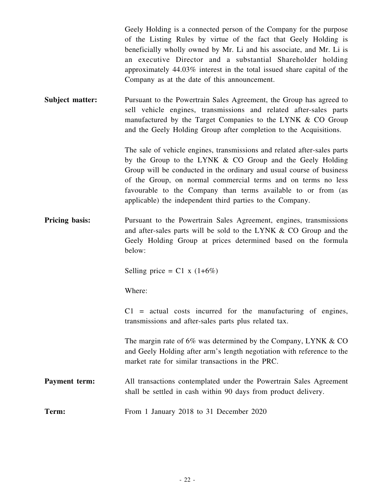Geely Holding is a connected person of the Company for the purpose of the Listing Rules by virtue of the fact that Geely Holding is beneficially wholly owned by Mr. Li and his associate, and Mr. Li is an executive Director and a substantial Shareholder holding approximately 44.03% interest in the total issued share capital of the Company as at the date of this announcement.

**Subject matter:** Pursuant to the Powertrain Sales Agreement, the Group has agreed to sell vehicle engines, transmissions and related after-sales parts manufactured by the Target Companies to the LYNK & CO Group and the Geely Holding Group after completion to the Acquisitions.

> The sale of vehicle engines, transmissions and related after-sales parts by the Group to the LYNK & CO Group and the Geely Holding Group will be conducted in the ordinary and usual course of business of the Group, on normal commercial terms and on terms no less favourable to the Company than terms available to or from (as applicable) the independent third parties to the Company.

**Pricing basis:** Pursuant to the Powertrain Sales Agreement, engines, transmissions and after-sales parts will be sold to the LYNK & CO Group and the Geely Holding Group at prices determined based on the formula below:

Selling price =  $C1 x (1+6%)$ 

Where:

 $C1$  = actual costs incurred for the manufacturing of engines, transmissions and after-sales parts plus related tax.

The margin rate of  $6\%$  was determined by the Company, LYNK  $\&$  CO and Geely Holding after arm's length negotiation with reference to the market rate for similar transactions in the PRC.

- **Payment term:** All transactions contemplated under the Powertrain Sales Agreement shall be settled in cash within 90 days from product delivery.
- **Term:** From 1 January 2018 to 31 December 2020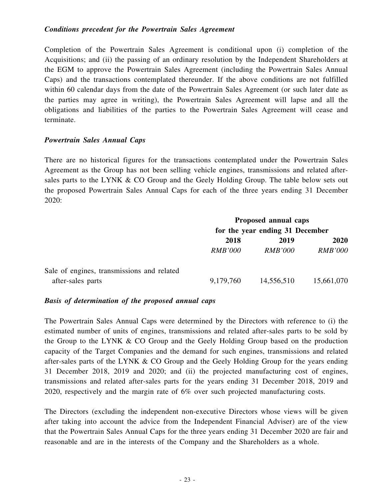#### *Conditions precedent for the Powertrain Sales Agreement*

Completion of the Powertrain Sales Agreement is conditional upon (i) completion of the Acquisitions; and (ii) the passing of an ordinary resolution by the Independent Shareholders at the EGM to approve the Powertrain Sales Agreement (including the Powertrain Sales Annual Caps) and the transactions contemplated thereunder. If the above conditions are not fulfilled within 60 calendar days from the date of the Powertrain Sales Agreement (or such later date as the parties may agree in writing), the Powertrain Sales Agreement will lapse and all the obligations and liabilities of the parties to the Powertrain Sales Agreement will cease and terminate.

#### *Powertrain Sales Annual Caps*

There are no historical figures for the transactions contemplated under the Powertrain Sales Agreement as the Group has not been selling vehicle engines, transmissions and related aftersales parts to the LYNK & CO Group and the Geely Holding Group. The table below sets out the proposed Powertrain Sales Annual Caps for each of the three years ending 31 December 2020:

|                                            | Proposed annual caps<br>for the year ending 31 December |                |                |
|--------------------------------------------|---------------------------------------------------------|----------------|----------------|
|                                            |                                                         |                |                |
|                                            | 2018<br>2019                                            |                |                |
|                                            | <i>RMB'000</i>                                          | <i>RMB'000</i> | <i>RMB'000</i> |
| Sale of engines, transmissions and related |                                                         |                |                |
| after-sales parts                          | 9,179,760                                               | 14,556,510     | 15,661,070     |

#### *Basis of determination of the proposed annual caps*

The Powertrain Sales Annual Caps were determined by the Directors with reference to (i) the estimated number of units of engines, transmissions and related after-sales parts to be sold by the Group to the LYNK & CO Group and the Geely Holding Group based on the production capacity of the Target Companies and the demand for such engines, transmissions and related after-sales parts of the LYNK & CO Group and the Geely Holding Group for the years ending 31 December 2018, 2019 and 2020; and (ii) the projected manufacturing cost of engines, transmissions and related after-sales parts for the years ending 31 December 2018, 2019 and 2020, respectively and the margin rate of 6% over such projected manufacturing costs.

The Directors (excluding the independent non-executive Directors whose views will be given after taking into account the advice from the Independent Financial Adviser) are of the view that the Powertrain Sales Annual Caps for the three years ending 31 December 2020 are fair and reasonable and are in the interests of the Company and the Shareholders as a whole.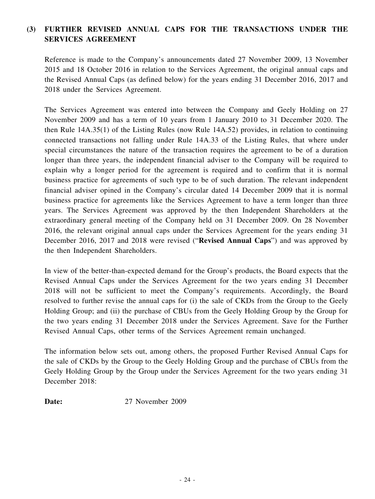## **(3) FURTHER REVISED ANNUAL CAPS FOR THE TRANSACTIONS UNDER THE SERVICES AGREEMENT**

Reference is made to the Company's announcements dated 27 November 2009, 13 November 2015 and 18 October 2016 in relation to the Services Agreement, the original annual caps and the Revised Annual Caps (as defined below) for the years ending 31 December 2016, 2017 and 2018 under the Services Agreement.

The Services Agreement was entered into between the Company and Geely Holding on 27 November 2009 and has a term of 10 years from 1 January 2010 to 31 December 2020. The then Rule 14A.35(1) of the Listing Rules (now Rule 14A.52) provides, in relation to continuing connected transactions not falling under Rule 14A.33 of the Listing Rules, that where under special circumstances the nature of the transaction requires the agreement to be of a duration longer than three years, the independent financial adviser to the Company will be required to explain why a longer period for the agreement is required and to confirm that it is normal business practice for agreements of such type to be of such duration. The relevant independent financial adviser opined in the Company's circular dated 14 December 2009 that it is normal business practice for agreements like the Services Agreement to have a term longer than three years. The Services Agreement was approved by the then Independent Shareholders at the extraordinary general meeting of the Company held on 31 December 2009. On 28 November 2016, the relevant original annual caps under the Services Agreement for the years ending 31 December 2016, 2017 and 2018 were revised ("**Revised Annual Caps**") and was approved by the then Independent Shareholders.

In view of the better-than-expected demand for the Group's products, the Board expects that the Revised Annual Caps under the Services Agreement for the two years ending 31 December 2018 will not be sufficient to meet the Company's requirements. Accordingly, the Board resolved to further revise the annual caps for (i) the sale of CKDs from the Group to the Geely Holding Group; and (ii) the purchase of CBUs from the Geely Holding Group by the Group for the two years ending 31 December 2018 under the Services Agreement. Save for the Further Revised Annual Caps, other terms of the Services Agreement remain unchanged.

The information below sets out, among others, the proposed Further Revised Annual Caps for the sale of CKDs by the Group to the Geely Holding Group and the purchase of CBUs from the Geely Holding Group by the Group under the Services Agreement for the two years ending 31 December 2018:

**Date:** 27 November 2009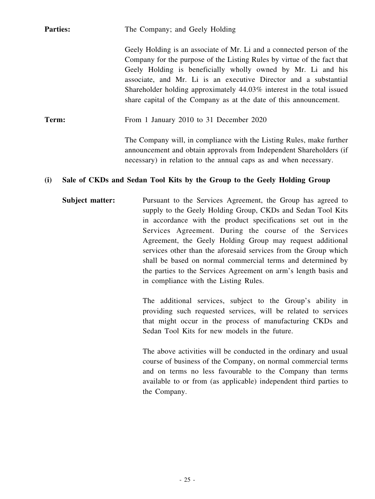**Parties:** The Company; and Geely Holding

Geely Holding is an associate of Mr. Li and a connected person of the Company for the purpose of the Listing Rules by virtue of the fact that Geely Holding is beneficially wholly owned by Mr. Li and his associate, and Mr. Li is an executive Director and a substantial Shareholder holding approximately 44.03% interest in the total issued share capital of the Company as at the date of this announcement.

**Term:** From 1 January 2010 to 31 December 2020

The Company will, in compliance with the Listing Rules, make further announcement and obtain approvals from Independent Shareholders (if necessary) in relation to the annual caps as and when necessary.

## **(i) Sale of CKDs and Sedan Tool Kits by the Group to the Geely Holding Group**

**Subject matter:** Pursuant to the Services Agreement, the Group has agreed to supply to the Geely Holding Group, CKDs and Sedan Tool Kits in accordance with the product specifications set out in the Services Agreement. During the course of the Services Agreement, the Geely Holding Group may request additional services other than the aforesaid services from the Group which shall be based on normal commercial terms and determined by the parties to the Services Agreement on arm's length basis and in compliance with the Listing Rules.

> The additional services, subject to the Group's ability in providing such requested services, will be related to services that might occur in the process of manufacturing CKDs and Sedan Tool Kits for new models in the future.

> The above activities will be conducted in the ordinary and usual course of business of the Company, on normal commercial terms and on terms no less favourable to the Company than terms available to or from (as applicable) independent third parties to the Company.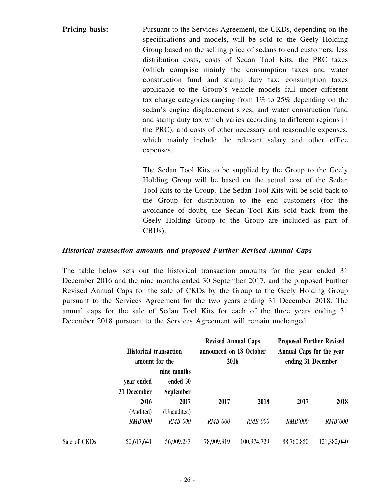**Pricing basis:** Pursuant to the Services Agreement, the CKDs, depending on the specifications and models, will be sold to the Geely Holding Group based on the selling price of sedans to end customers, less distribution costs, costs of Sedan Tool Kits, the PRC taxes (which comprise mainly the consumption taxes and water construction fund and stamp duty tax; consumption taxes applicable to the Group's vehicle models fall under different tax charge categories ranging from 1% to 25% depending on the sedan's engine displacement sizes, and water construction fund and stamp duty tax which varies according to different regions in the PRC), and costs of other necessary and reasonable expenses, which mainly include the relevant salary and other office expenses.

> The Sedan Tool Kits to be supplied by the Group to the Geely Holding Group will be based on the actual cost of the Sedan Tool Kits to the Group. The Sedan Tool Kits will be sold back to the Group for distribution to the end customers (for the avoidance of doubt, the Sedan Tool Kits sold back from the Geely Holding Group to the Group are included as part of CBUs).

#### *Historical transaction amounts and proposed Further Revised Annual Caps*

The table below sets out the historical transaction amounts for the year ended 31 December 2016 and the nine months ended 30 September 2017, and the proposed Further Revised Annual Caps for the sale of CKDs by the Group to the Geely Holding Group pursuant to the Services Agreement for the two years ending 31 December 2018. The annual caps for the sale of Sedan Tool Kits for each of the three years ending 31 December 2018 pursuant to the Services Agreement will remain unchanged.

|              | <b>Historical transaction</b><br>amount for the |                              | <b>Revised Annual Caps</b><br>announced on 18 October<br>2016 |                | <b>Proposed Further Revised</b><br>Annual Caps for the year<br>ending 31 December |                |
|--------------|-------------------------------------------------|------------------------------|---------------------------------------------------------------|----------------|-----------------------------------------------------------------------------------|----------------|
|              |                                                 | nine months                  |                                                               |                |                                                                                   |                |
|              | year ended<br>31 December                       | ended 30<br><b>September</b> |                                                               |                |                                                                                   |                |
|              | 2016<br>(Audited)                               | 2017<br>(Unaudited)          | 2017                                                          | 2018           | 2017                                                                              | 2018           |
|              | <b>RMB'000</b>                                  | <b>RMB'000</b>               | <b>RMB'000</b>                                                | <b>RMB'000</b> | <b>RMB'000</b>                                                                    | <b>RMB'000</b> |
| Sale of CKDs | 50,617,641                                      | 56,909,233                   | 78,909,319                                                    | 100,974,729    | 88,760,850                                                                        | 121,382,040    |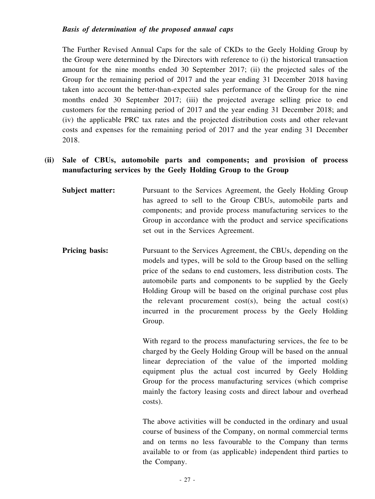The Further Revised Annual Caps for the sale of CKDs to the Geely Holding Group by the Group were determined by the Directors with reference to (i) the historical transaction amount for the nine months ended 30 September 2017; (ii) the projected sales of the Group for the remaining period of 2017 and the year ending 31 December 2018 having taken into account the better-than-expected sales performance of the Group for the nine months ended 30 September 2017; (iii) the projected average selling price to end customers for the remaining period of 2017 and the year ending 31 December 2018; and (iv) the applicable PRC tax rates and the projected distribution costs and other relevant costs and expenses for the remaining period of 2017 and the year ending 31 December 2018.

## **(ii) Sale of CBUs, automobile parts and components; and provision of process manufacturing services by the Geely Holding Group to the Group**

- **Subject matter:** Pursuant to the Services Agreement, the Geely Holding Group has agreed to sell to the Group CBUs, automobile parts and components; and provide process manufacturing services to the Group in accordance with the product and service specifications set out in the Services Agreement.
- **Pricing basis:** Pursuant to the Services Agreement, the CBUs, depending on the models and types, will be sold to the Group based on the selling price of the sedans to end customers, less distribution costs. The automobile parts and components to be supplied by the Geely Holding Group will be based on the original purchase cost plus the relevant procurement cost(s), being the actual cost(s) incurred in the procurement process by the Geely Holding Group.

With regard to the process manufacturing services, the fee to be charged by the Geely Holding Group will be based on the annual linear depreciation of the value of the imported molding equipment plus the actual cost incurred by Geely Holding Group for the process manufacturing services (which comprise mainly the factory leasing costs and direct labour and overhead costs).

The above activities will be conducted in the ordinary and usual course of business of the Company, on normal commercial terms and on terms no less favourable to the Company than terms available to or from (as applicable) independent third parties to the Company.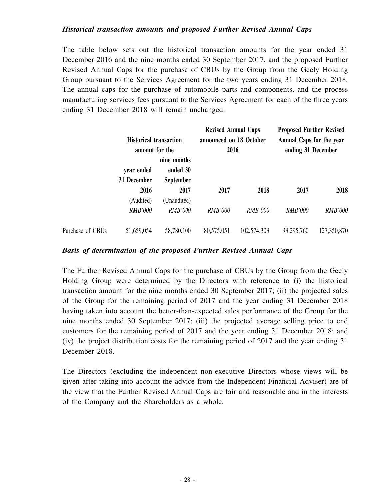#### *Historical transaction amounts and proposed Further Revised Annual Caps*

The table below sets out the historical transaction amounts for the year ended 31 December 2016 and the nine months ended 30 September 2017, and the proposed Further Revised Annual Caps for the purchase of CBUs by the Group from the Geely Holding Group pursuant to the Services Agreement for the two years ending 31 December 2018. The annual caps for the purchase of automobile parts and components, and the process manufacturing services fees pursuant to the Services Agreement for each of the three years ending 31 December 2018 will remain unchanged.

| <b>Historical transaction</b><br>amount for the |                | <b>Revised Annual Caps</b><br>announced on 18 October<br>2016 |                | <b>Proposed Further Revised</b><br>Annual Caps for the year<br>ending 31 December |                |                |
|-------------------------------------------------|----------------|---------------------------------------------------------------|----------------|-----------------------------------------------------------------------------------|----------------|----------------|
|                                                 |                | nine months                                                   |                |                                                                                   |                |                |
|                                                 | year ended     | ended 30                                                      |                |                                                                                   |                |                |
|                                                 | 31 December    | <b>September</b>                                              |                |                                                                                   |                |                |
|                                                 | 2016           | 2017                                                          | 2017           | 2018                                                                              | 2017           | 2018           |
|                                                 | (Audited)      | (Unaudited)                                                   |                |                                                                                   |                |                |
|                                                 | <b>RMB'000</b> | <b>RMB'000</b>                                                | <b>RMB'000</b> | <b>RMB'000</b>                                                                    | <b>RMB'000</b> | <b>RMB'000</b> |
| Purchase of CBUs                                | 51,659,054     | 58,780,100                                                    | 80,575,051     | 102,574,303                                                                       | 93,295,760     | 127,350,870    |

#### *Basis of determination of the proposed Further Revised Annual Caps*

The Further Revised Annual Caps for the purchase of CBUs by the Group from the Geely Holding Group were determined by the Directors with reference to (i) the historical transaction amount for the nine months ended 30 September 2017; (ii) the projected sales of the Group for the remaining period of 2017 and the year ending 31 December 2018 having taken into account the better-than-expected sales performance of the Group for the nine months ended 30 September 2017; (iii) the projected average selling price to end customers for the remaining period of 2017 and the year ending 31 December 2018; and (iv) the project distribution costs for the remaining period of 2017 and the year ending 31 December 2018.

The Directors (excluding the independent non-executive Directors whose views will be given after taking into account the advice from the Independent Financial Adviser) are of the view that the Further Revised Annual Caps are fair and reasonable and in the interests of the Company and the Shareholders as a whole.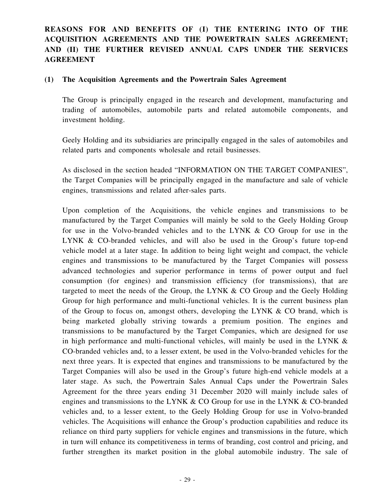## **REASONS FOR AND BENEFITS OF (I) THE ENTERING INTO OF THE ACQUISITION AGREEMENTS AND THE POWERTRAIN SALES AGREEMENT; AND (II) THE FURTHER REVISED ANNUAL CAPS UNDER THE SERVICES AGREEMENT**

#### **(1) The Acquisition Agreements and the Powertrain Sales Agreement**

The Group is principally engaged in the research and development, manufacturing and trading of automobiles, automobile parts and related automobile components, and investment holding.

Geely Holding and its subsidiaries are principally engaged in the sales of automobiles and related parts and components wholesale and retail businesses.

As disclosed in the section headed "INFORMATION ON THE TARGET COMPANIES", the Target Companies will be principally engaged in the manufacture and sale of vehicle engines, transmissions and related after-sales parts.

Upon completion of the Acquisitions, the vehicle engines and transmissions to be manufactured by the Target Companies will mainly be sold to the Geely Holding Group for use in the Volvo-branded vehicles and to the LYNK & CO Group for use in the LYNK & CO-branded vehicles, and will also be used in the Group's future top-end vehicle model at a later stage. In addition to being light weight and compact, the vehicle engines and transmissions to be manufactured by the Target Companies will possess advanced technologies and superior performance in terms of power output and fuel consumption (for engines) and transmission efficiency (for transmissions), that are targeted to meet the needs of the Group, the LYNK & CO Group and the Geely Holding Group for high performance and multi-functional vehicles. It is the current business plan of the Group to focus on, amongst others, developing the LYNK & CO brand, which is being marketed globally striving towards a premium position. The engines and transmissions to be manufactured by the Target Companies, which are designed for use in high performance and multi-functional vehicles, will mainly be used in the LYNK & CO-branded vehicles and, to a lesser extent, be used in the Volvo-branded vehicles for the next three years. It is expected that engines and transmissions to be manufactured by the Target Companies will also be used in the Group's future high-end vehicle models at a later stage. As such, the Powertrain Sales Annual Caps under the Powertrain Sales Agreement for the three years ending 31 December 2020 will mainly include sales of engines and transmissions to the LYNK & CO Group for use in the LYNK & CO-branded vehicles and, to a lesser extent, to the Geely Holding Group for use in Volvo-branded vehicles. The Acquisitions will enhance the Group's production capabilities and reduce its reliance on third party suppliers for vehicle engines and transmissions in the future, which in turn will enhance its competitiveness in terms of branding, cost control and pricing, and further strengthen its market position in the global automobile industry. The sale of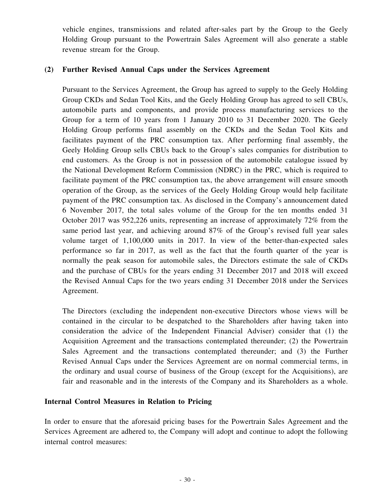vehicle engines, transmissions and related after-sales part by the Group to the Geely Holding Group pursuant to the Powertrain Sales Agreement will also generate a stable revenue stream for the Group.

#### **(2) Further Revised Annual Caps under the Services Agreement**

Pursuant to the Services Agreement, the Group has agreed to supply to the Geely Holding Group CKDs and Sedan Tool Kits, and the Geely Holding Group has agreed to sell CBUs, automobile parts and components, and provide process manufacturing services to the Group for a term of 10 years from 1 January 2010 to 31 December 2020. The Geely Holding Group performs final assembly on the CKDs and the Sedan Tool Kits and facilitates payment of the PRC consumption tax. After performing final assembly, the Geely Holding Group sells CBUs back to the Group's sales companies for distribution to end customers. As the Group is not in possession of the automobile catalogue issued by the National Development Reform Commission (NDRC) in the PRC, which is required to facilitate payment of the PRC consumption tax, the above arrangement will ensure smooth operation of the Group, as the services of the Geely Holding Group would help facilitate payment of the PRC consumption tax. As disclosed in the Company's announcement dated 6 November 2017, the total sales volume of the Group for the ten months ended 31 October 2017 was 952,226 units, representing an increase of approximately 72% from the same period last year, and achieving around 87% of the Group's revised full year sales volume target of 1,100,000 units in 2017. In view of the better-than-expected sales performance so far in 2017, as well as the fact that the fourth quarter of the year is normally the peak season for automobile sales, the Directors estimate the sale of CKDs and the purchase of CBUs for the years ending 31 December 2017 and 2018 will exceed the Revised Annual Caps for the two years ending 31 December 2018 under the Services Agreement.

The Directors (excluding the independent non-executive Directors whose views will be contained in the circular to be despatched to the Shareholders after having taken into consideration the advice of the Independent Financial Adviser) consider that (1) the Acquisition Agreement and the transactions contemplated thereunder; (2) the Powertrain Sales Agreement and the transactions contemplated thereunder; and (3) the Further Revised Annual Caps under the Services Agreement are on normal commercial terms, in the ordinary and usual course of business of the Group (except for the Acquisitions), are fair and reasonable and in the interests of the Company and its Shareholders as a whole.

#### **Internal Control Measures in Relation to Pricing**

In order to ensure that the aforesaid pricing bases for the Powertrain Sales Agreement and the Services Agreement are adhered to, the Company will adopt and continue to adopt the following internal control measures: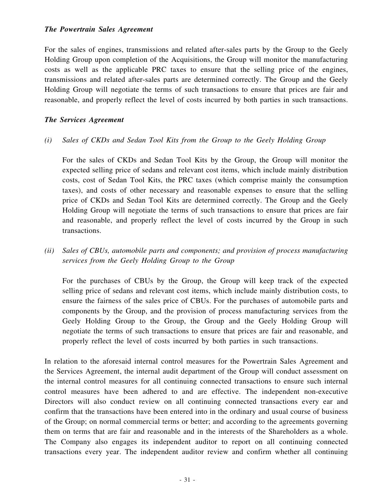#### *The Powertrain Sales Agreement*

For the sales of engines, transmissions and related after-sales parts by the Group to the Geely Holding Group upon completion of the Acquisitions, the Group will monitor the manufacturing costs as well as the applicable PRC taxes to ensure that the selling price of the engines, transmissions and related after-sales parts are determined correctly. The Group and the Geely Holding Group will negotiate the terms of such transactions to ensure that prices are fair and reasonable, and properly reflect the level of costs incurred by both parties in such transactions.

#### *The Services Agreement*

*(i) Sales of CKDs and Sedan Tool Kits from the Group to the Geely Holding Group*

For the sales of CKDs and Sedan Tool Kits by the Group, the Group will monitor the expected selling price of sedans and relevant cost items, which include mainly distribution costs, cost of Sedan Tool Kits, the PRC taxes (which comprise mainly the consumption taxes), and costs of other necessary and reasonable expenses to ensure that the selling price of CKDs and Sedan Tool Kits are determined correctly. The Group and the Geely Holding Group will negotiate the terms of such transactions to ensure that prices are fair and reasonable, and properly reflect the level of costs incurred by the Group in such transactions.

*(ii) Sales of CBUs, automobile parts and components; and provision of process manufacturing services from the Geely Holding Group to the Group*

For the purchases of CBUs by the Group, the Group will keep track of the expected selling price of sedans and relevant cost items, which include mainly distribution costs, to ensure the fairness of the sales price of CBUs. For the purchases of automobile parts and components by the Group, and the provision of process manufacturing services from the Geely Holding Group to the Group, the Group and the Geely Holding Group will negotiate the terms of such transactions to ensure that prices are fair and reasonable, and properly reflect the level of costs incurred by both parties in such transactions.

In relation to the aforesaid internal control measures for the Powertrain Sales Agreement and the Services Agreement, the internal audit department of the Group will conduct assessment on the internal control measures for all continuing connected transactions to ensure such internal control measures have been adhered to and are effective. The independent non-executive Directors will also conduct review on all continuing connected transactions every ear and confirm that the transactions have been entered into in the ordinary and usual course of business of the Group; on normal commercial terms or better; and according to the agreements governing them on terms that are fair and reasonable and in the interests of the Shareholders as a whole. The Company also engages its independent auditor to report on all continuing connected transactions every year. The independent auditor review and confirm whether all continuing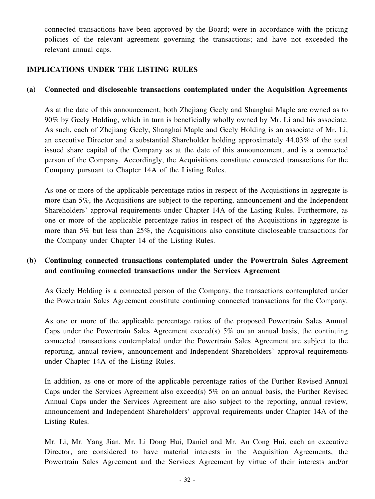connected transactions have been approved by the Board; were in accordance with the pricing policies of the relevant agreement governing the transactions; and have not exceeded the relevant annual caps.

## **IMPLICATIONS UNDER THE LISTING RULES**

#### **(a) Connected and discloseable transactions contemplated under the Acquisition Agreements**

As at the date of this announcement, both Zhejiang Geely and Shanghai Maple are owned as to 90% by Geely Holding, which in turn is beneficially wholly owned by Mr. Li and his associate. As such, each of Zhejiang Geely, Shanghai Maple and Geely Holding is an associate of Mr. Li, an executive Director and a substantial Shareholder holding approximately 44.03% of the total issued share capital of the Company as at the date of this announcement, and is a connected person of the Company. Accordingly, the Acquisitions constitute connected transactions for the Company pursuant to Chapter 14A of the Listing Rules.

As one or more of the applicable percentage ratios in respect of the Acquisitions in aggregate is more than 5%, the Acquisitions are subject to the reporting, announcement and the Independent Shareholders' approval requirements under Chapter 14A of the Listing Rules. Furthermore, as one or more of the applicable percentage ratios in respect of the Acquisitions in aggregate is more than 5% but less than 25%, the Acquisitions also constitute discloseable transactions for the Company under Chapter 14 of the Listing Rules.

## **(b) Continuing connected transactions contemplated under the Powertrain Sales Agreement and continuing connected transactions under the Services Agreement**

As Geely Holding is a connected person of the Company, the transactions contemplated under the Powertrain Sales Agreement constitute continuing connected transactions for the Company.

As one or more of the applicable percentage ratios of the proposed Powertrain Sales Annual Caps under the Powertrain Sales Agreement exceed(s)  $5\%$  on an annual basis, the continuing connected transactions contemplated under the Powertrain Sales Agreement are subject to the reporting, annual review, announcement and Independent Shareholders' approval requirements under Chapter 14A of the Listing Rules.

In addition, as one or more of the applicable percentage ratios of the Further Revised Annual Caps under the Services Agreement also exceed(s) 5% on an annual basis, the Further Revised Annual Caps under the Services Agreement are also subject to the reporting, annual review, announcement and Independent Shareholders' approval requirements under Chapter 14A of the Listing Rules.

Mr. Li, Mr. Yang Jian, Mr. Li Dong Hui, Daniel and Mr. An Cong Hui, each an executive Director, are considered to have material interests in the Acquisition Agreements, the Powertrain Sales Agreement and the Services Agreement by virtue of their interests and/or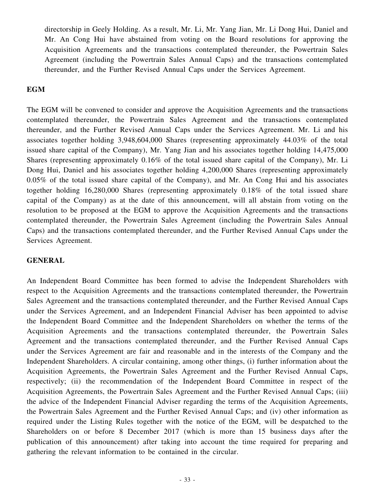directorship in Geely Holding. As a result, Mr. Li, Mr. Yang Jian, Mr. Li Dong Hui, Daniel and Mr. An Cong Hui have abstained from voting on the Board resolutions for approving the Acquisition Agreements and the transactions contemplated thereunder, the Powertrain Sales Agreement (including the Powertrain Sales Annual Caps) and the transactions contemplated thereunder, and the Further Revised Annual Caps under the Services Agreement.

## **EGM**

The EGM will be convened to consider and approve the Acquisition Agreements and the transactions contemplated thereunder, the Powertrain Sales Agreement and the transactions contemplated thereunder, and the Further Revised Annual Caps under the Services Agreement. Mr. Li and his associates together holding 3,948,604,000 Shares (representing approximately 44.03% of the total issued share capital of the Company), Mr. Yang Jian and his associates together holding 14,475,000 Shares (representing approximately 0.16% of the total issued share capital of the Company), Mr. Li Dong Hui, Daniel and his associates together holding 4,200,000 Shares (representing approximately 0.05% of the total issued share capital of the Company), and Mr. An Cong Hui and his associates together holding 16,280,000 Shares (representing approximately 0.18% of the total issued share capital of the Company) as at the date of this announcement, will all abstain from voting on the resolution to be proposed at the EGM to approve the Acquisition Agreements and the transactions contemplated thereunder, the Powertrain Sales Agreement (including the Powertrain Sales Annual Caps) and the transactions contemplated thereunder, and the Further Revised Annual Caps under the Services Agreement.

## **GENERAL**

An Independent Board Committee has been formed to advise the Independent Shareholders with respect to the Acquisition Agreements and the transactions contemplated thereunder, the Powertrain Sales Agreement and the transactions contemplated thereunder, and the Further Revised Annual Caps under the Services Agreement, and an Independent Financial Adviser has been appointed to advise the Independent Board Committee and the Independent Shareholders on whether the terms of the Acquisition Agreements and the transactions contemplated thereunder, the Powertrain Sales Agreement and the transactions contemplated thereunder, and the Further Revised Annual Caps under the Services Agreement are fair and reasonable and in the interests of the Company and the Independent Shareholders. A circular containing, among other things, (i) further information about the Acquisition Agreements, the Powertrain Sales Agreement and the Further Revised Annual Caps, respectively; (ii) the recommendation of the Independent Board Committee in respect of the Acquisition Agreements, the Powertrain Sales Agreement and the Further Revised Annual Caps; (iii) the advice of the Independent Financial Adviser regarding the terms of the Acquisition Agreements, the Powertrain Sales Agreement and the Further Revised Annual Caps; and (iv) other information as required under the Listing Rules together with the notice of the EGM, will be despatched to the Shareholders on or before 8 December 2017 (which is more than 15 business days after the publication of this announcement) after taking into account the time required for preparing and gathering the relevant information to be contained in the circular.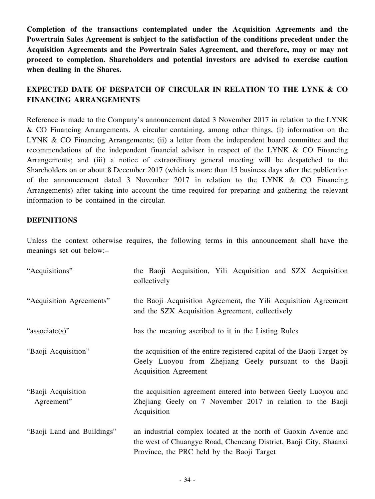**Completion of the transactions contemplated under the Acquisition Agreements and the Powertrain Sales Agreement is subject to the satisfaction of the conditions precedent under the Acquisition Agreements and the Powertrain Sales Agreement, and therefore, may or may not proceed to completion. Shareholders and potential investors are advised to exercise caution when dealing in the Shares.**

## **EXPECTED DATE OF DESPATCH OF CIRCULAR IN RELATION TO THE LYNK & CO FINANCING ARRANGEMENTS**

Reference is made to the Company's announcement dated 3 November 2017 in relation to the LYNK & CO Financing Arrangements. A circular containing, among other things, (i) information on the LYNK & CO Financing Arrangements; (ii) a letter from the independent board committee and the recommendations of the independent financial adviser in respect of the LYNK & CO Financing Arrangements; and (iii) a notice of extraordinary general meeting will be despatched to the Shareholders on or about 8 December 2017 (which is more than 15 business days after the publication of the announcement dated 3 November 2017 in relation to the LYNK & CO Financing Arrangements) after taking into account the time required for preparing and gathering the relevant information to be contained in the circular.

#### **DEFINITIONS**

Unless the context otherwise requires, the following terms in this announcement shall have the meanings set out below:–

| "Acquisitions"                   | the Baoji Acquisition, Yili Acquisition and SZX Acquisition<br>collectively                                                                                                        |
|----------------------------------|------------------------------------------------------------------------------------------------------------------------------------------------------------------------------------|
| "Acquisition Agreements"         | the Baoji Acquisition Agreement, the Yili Acquisition Agreement<br>and the SZX Acquisition Agreement, collectively                                                                 |
| "associate(s)"                   | has the meaning ascribed to it in the Listing Rules                                                                                                                                |
| "Baoji Acquisition"              | the acquisition of the entire registered capital of the Baoji Target by<br>Geely Luoyou from Zhejiang Geely pursuant to the Baoji<br><b>Acquisition Agreement</b>                  |
| "Baoji Acquisition<br>Agreement" | the acquisition agreement entered into between Geely Luoyou and<br>Zhejiang Geely on 7 November 2017 in relation to the Baoji<br>Acquisition                                       |
| "Baoji Land and Buildings"       | an industrial complex located at the north of Gaoxin Avenue and<br>the west of Chuangye Road, Chencang District, Baoji City, Shaanxi<br>Province, the PRC held by the Baoji Target |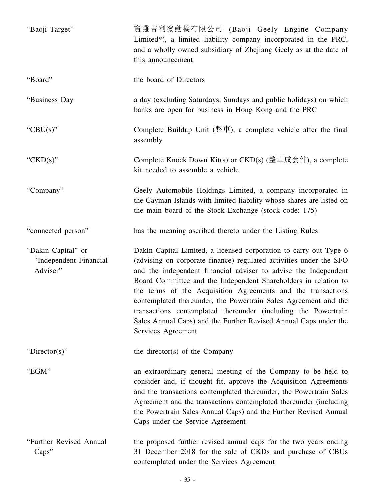| "Baoji Target"                                           | 寶雞吉利發動機有限公司 (Baoji Geely Engine Company<br>Limited*), a limited liability company incorporated in the PRC,<br>and a wholly owned subsidiary of Zhejiang Geely as at the date of<br>this announcement                                                                                                                                                                                                                                                                                                                                                                         |
|----------------------------------------------------------|------------------------------------------------------------------------------------------------------------------------------------------------------------------------------------------------------------------------------------------------------------------------------------------------------------------------------------------------------------------------------------------------------------------------------------------------------------------------------------------------------------------------------------------------------------------------------|
| "Board"                                                  | the board of Directors                                                                                                                                                                                                                                                                                                                                                                                                                                                                                                                                                       |
| "Business Day                                            | a day (excluding Saturdays, Sundays and public holidays) on which<br>banks are open for business in Hong Kong and the PRC                                                                                                                                                                                                                                                                                                                                                                                                                                                    |
| "CBU(s)"                                                 | Complete Buildup Unit (整車), a complete vehicle after the final<br>assembly                                                                                                                                                                                                                                                                                                                                                                                                                                                                                                   |
| " $CKD(s)$ "                                             | Complete Knock Down Kit(s) or $CKD(s)$ (整車成套件), a complete<br>kit needed to assemble a vehicle                                                                                                                                                                                                                                                                                                                                                                                                                                                                               |
| "Company"                                                | Geely Automobile Holdings Limited, a company incorporated in<br>the Cayman Islands with limited liability whose shares are listed on<br>the main board of the Stock Exchange (stock code: 175)                                                                                                                                                                                                                                                                                                                                                                               |
| "connected person"                                       | has the meaning ascribed thereto under the Listing Rules                                                                                                                                                                                                                                                                                                                                                                                                                                                                                                                     |
| "Dakin Capital" or<br>"Independent Financial<br>Adviser" | Dakin Capital Limited, a licensed corporation to carry out Type 6<br>(advising on corporate finance) regulated activities under the SFO<br>and the independent financial adviser to advise the Independent<br>Board Committee and the Independent Shareholders in relation to<br>the terms of the Acquisition Agreements and the transactions<br>contemplated thereunder, the Powertrain Sales Agreement and the<br>transactions contemplated thereunder (including the Powertrain<br>Sales Annual Caps) and the Further Revised Annual Caps under the<br>Services Agreement |
| "Director(s)"                                            | the director(s) of the Company                                                                                                                                                                                                                                                                                                                                                                                                                                                                                                                                               |
| "EGM"                                                    | an extraordinary general meeting of the Company to be held to<br>consider and, if thought fit, approve the Acquisition Agreements<br>and the transactions contemplated thereunder, the Powertrain Sales<br>Agreement and the transactions contemplated thereunder (including<br>the Powertrain Sales Annual Caps) and the Further Revised Annual<br>Caps under the Service Agreement                                                                                                                                                                                         |
| "Further Revised Annual<br>Caps''                        | the proposed further revised annual caps for the two years ending<br>31 December 2018 for the sale of CKDs and purchase of CBUs<br>contemplated under the Services Agreement                                                                                                                                                                                                                                                                                                                                                                                                 |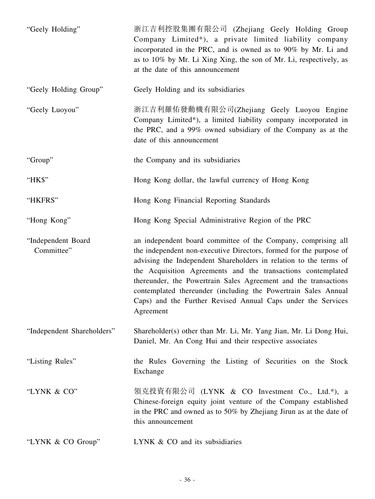| "Geely Holding"                  | 浙江吉利控股集團有限公司 (Zhejiang Geely Holding Group<br>Company Limited*), a private limited liability company<br>incorporated in the PRC, and is owned as to 90% by Mr. Li and<br>as to 10% by Mr. Li Xing Xing, the son of Mr. Li, respectively, as<br>at the date of this announcement                                                                                                                                                                                                            |
|----------------------------------|--------------------------------------------------------------------------------------------------------------------------------------------------------------------------------------------------------------------------------------------------------------------------------------------------------------------------------------------------------------------------------------------------------------------------------------------------------------------------------------------|
| "Geely Holding Group"            | Geely Holding and its subsidiaries                                                                                                                                                                                                                                                                                                                                                                                                                                                         |
| "Geely Luoyou"                   | 浙江吉利羅佑發動機有限公司(Zhejiang Geely Luoyou Engine<br>Company Limited*), a limited liability company incorporated in<br>the PRC, and a 99% owned subsidiary of the Company as at the<br>date of this announcement                                                                                                                                                                                                                                                                                  |
| "Group"                          | the Company and its subsidiaries                                                                                                                                                                                                                                                                                                                                                                                                                                                           |
| "HK\$"                           | Hong Kong dollar, the lawful currency of Hong Kong                                                                                                                                                                                                                                                                                                                                                                                                                                         |
| "HKFRS"                          | Hong Kong Financial Reporting Standards                                                                                                                                                                                                                                                                                                                                                                                                                                                    |
| "Hong Kong"                      | Hong Kong Special Administrative Region of the PRC                                                                                                                                                                                                                                                                                                                                                                                                                                         |
| "Independent Board<br>Committee" | an independent board committee of the Company, comprising all<br>the independent non-executive Directors, formed for the purpose of<br>advising the Independent Shareholders in relation to the terms of<br>the Acquisition Agreements and the transactions contemplated<br>thereunder, the Powertrain Sales Agreement and the transactions<br>contemplated thereunder (including the Powertrain Sales Annual<br>Caps) and the Further Revised Annual Caps under the Services<br>Agreement |
| "Independent Shareholders"       | Shareholder(s) other than Mr. Li, Mr. Yang Jian, Mr. Li Dong Hui,<br>Daniel, Mr. An Cong Hui and their respective associates                                                                                                                                                                                                                                                                                                                                                               |
| "Listing Rules"                  | the Rules Governing the Listing of Securities on the Stock<br>Exchange                                                                                                                                                                                                                                                                                                                                                                                                                     |
| "LYNK & CO"                      | 領克投資有限公司 (LYNK & CO Investment Co., Ltd.*), a<br>Chinese-foreign equity joint venture of the Company established<br>in the PRC and owned as to 50% by Zhejiang Jirun as at the date of<br>this announcement                                                                                                                                                                                                                                                                                |
| "LYNK & CO Group"                | LYNK & CO and its subsidiaries                                                                                                                                                                                                                                                                                                                                                                                                                                                             |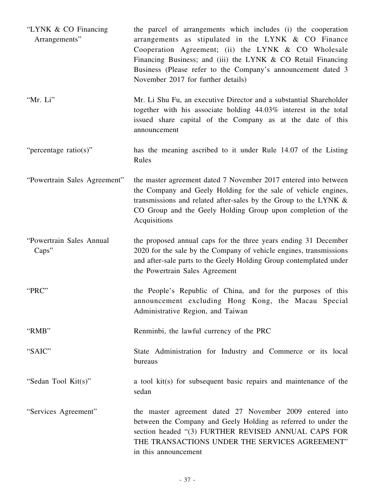| "LYNK & CO Financing"<br>Arrangements" | the parcel of arrangements which includes (i) the cooperation<br>arrangements as stipulated in the LYNK & CO Finance<br>Cooperation Agreement; (ii) the LYNK & CO Wholesale<br>Financing Business; and (iii) the LYNK & CO Retail Financing<br>Business (Please refer to the Company's announcement dated 3<br>November 2017 for further details) |
|----------------------------------------|---------------------------------------------------------------------------------------------------------------------------------------------------------------------------------------------------------------------------------------------------------------------------------------------------------------------------------------------------|
| "Mr. Li"                               | Mr. Li Shu Fu, an executive Director and a substantial Shareholder<br>together with his associate holding 44.03% interest in the total<br>issued share capital of the Company as at the date of this<br>announcement                                                                                                                              |
| "percentage ratio(s)"                  | has the meaning ascribed to it under Rule 14.07 of the Listing<br>Rules                                                                                                                                                                                                                                                                           |
| "Powertrain Sales Agreement"           | the master agreement dated 7 November 2017 entered into between<br>the Company and Geely Holding for the sale of vehicle engines,<br>transmissions and related after-sales by the Group to the LYNK &<br>CO Group and the Geely Holding Group upon completion of the<br>Acquisitions                                                              |
| "Powertrain Sales Annual<br>Caps''     | the proposed annual caps for the three years ending 31 December<br>2020 for the sale by the Company of vehicle engines, transmissions<br>and after-sale parts to the Geely Holding Group contemplated under<br>the Powertrain Sales Agreement                                                                                                     |
| "PRC"                                  | the People's Republic of China, and for the purposes of this<br>announcement excluding Hong Kong, the Macau Special<br>Administrative Region, and Taiwan                                                                                                                                                                                          |
| "RMB"                                  | Renminbi, the lawful currency of the PRC                                                                                                                                                                                                                                                                                                          |
| "SAIC"                                 | State Administration for Industry and Commerce or its local<br>bureaus                                                                                                                                                                                                                                                                            |
| "Sedan Tool Kit(s)"                    | a tool kit(s) for subsequent basic repairs and maintenance of the<br>sedan                                                                                                                                                                                                                                                                        |
| "Services Agreement"                   | the master agreement dated 27 November 2009 entered into<br>between the Company and Geely Holding as referred to under the<br>section headed "(3) FURTHER REVISED ANNUAL CAPS FOR<br>THE TRANSACTIONS UNDER THE SERVICES AGREEMENT"<br>in this announcement                                                                                       |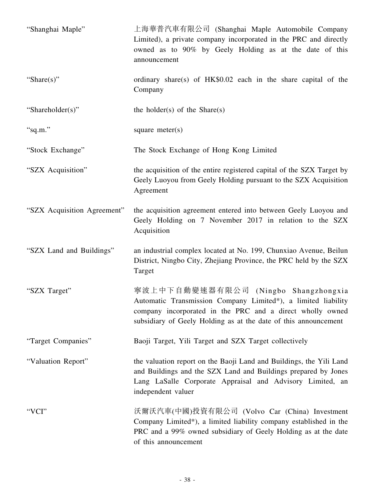| "Shanghai Maple"            | 上海華普汽車有限公司 (Shanghai Maple Automobile Company<br>Limited), a private company incorporated in the PRC and directly<br>owned as to 90% by Geely Holding as at the date of this<br>announcement                                          |
|-----------------------------|---------------------------------------------------------------------------------------------------------------------------------------------------------------------------------------------------------------------------------------|
| "Share $(s)$ "              | ordinary share(s) of HK\$0.02 each in the share capital of the<br>Company                                                                                                                                                             |
| "Shareholder(s)"            | the holder(s) of the Share(s)                                                                                                                                                                                                         |
| "sq.m."                     | square meter $(s)$                                                                                                                                                                                                                    |
| "Stock Exchange"            | The Stock Exchange of Hong Kong Limited                                                                                                                                                                                               |
| "SZX Acquisition"           | the acquisition of the entire registered capital of the SZX Target by<br>Geely Luoyou from Geely Holding pursuant to the SZX Acquisition<br>Agreement                                                                                 |
| "SZX Acquisition Agreement" | the acquisition agreement entered into between Geely Luoyou and<br>Geely Holding on 7 November 2017 in relation to the SZX<br>Acquisition                                                                                             |
| "SZX Land and Buildings"    | an industrial complex located at No. 199, Chunxiao Avenue, Beilun<br>District, Ningbo City, Zhejiang Province, the PRC held by the SZX<br>Target                                                                                      |
| "SZX Target"                | 寧波上中下自動變速器有限公司 (Ningbo Shangzhongxia<br>Automatic Transmission Company Limited*), a limited liability<br>company incorporated in the PRC and a direct wholly owned<br>subsidiary of Geely Holding as at the date of this announcement |
| "Target Companies"          | Baoji Target, Yili Target and SZX Target collectively                                                                                                                                                                                 |
| "Valuation Report"          | the valuation report on the Baoji Land and Buildings, the Yili Land<br>and Buildings and the SZX Land and Buildings prepared by Jones<br>Lang LaSalle Corporate Appraisal and Advisory Limited, an<br>independent valuer              |
| "VCI"                       | 沃爾沃汽車(中國)投資有限公司 (Volvo Car (China) Investment<br>Company Limited*), a limited liability company established in the<br>PRC and a 99% owned subsidiary of Geely Holding as at the date<br>of this announcement                          |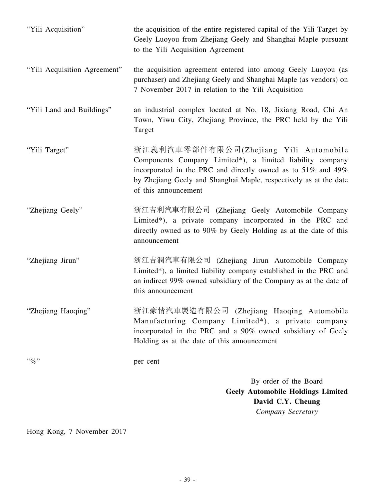| "Yili Acquisition"           | the acquisition of the entire registered capital of the Yili Target by<br>Geely Luoyou from Zhejiang Geely and Shanghai Maple pursuant<br>to the Yili Acquisition Agreement                                                                                      |
|------------------------------|------------------------------------------------------------------------------------------------------------------------------------------------------------------------------------------------------------------------------------------------------------------|
| "Yili Acquisition Agreement" | the acquisition agreement entered into among Geely Luoyou (as<br>purchaser) and Zhejiang Geely and Shanghai Maple (as vendors) on<br>7 November 2017 in relation to the Yili Acquisition                                                                         |
| "Yili Land and Buildings"    | an industrial complex located at No. 18, Jixiang Road, Chi An<br>Town, Yiwu City, Zhejiang Province, the PRC held by the Yili<br>Target                                                                                                                          |
| "Yili Target"                | 浙江義利汽車零部件有限公司(Zhejiang Yili Automobile<br>Components Company Limited*), a limited liability company<br>incorporated in the PRC and directly owned as to 51% and 49%<br>by Zhejiang Geely and Shanghai Maple, respectively as at the date<br>of this announcement |
| "Zhejiang Geely"             | 浙江吉利汽車有限公司 (Zhejiang Geely Automobile Company<br>Limited*), a private company incorporated in the PRC and<br>directly owned as to 90% by Geely Holding as at the date of this<br>announcement                                                                    |
| "Zhejiang Jirun"             | 浙江吉潤汽車有限公司 (Zhejiang Jirun Automobile Company<br>Limited*), a limited liability company established in the PRC and<br>an indirect 99% owned subsidiary of the Company as at the date of<br>this announcement                                                     |
| "Zhejiang Haoqing"           | 浙江豪情汽車製造有限公司 (Zhejiang Haoqing Automobile<br>Manufacturing Company Limited*), a private company<br>incorporated in the PRC and a 90% owned subsidiary of Geely<br>Holding as at the date of this announcement                                                    |
| $``\%"$                      | per cent                                                                                                                                                                                                                                                         |
|                              | By order of the Board<br><b>Geely Automobile Holdings Limited</b><br>David C.Y. Cheung<br>Company Secretary                                                                                                                                                      |

Hong Kong, 7 November 2017